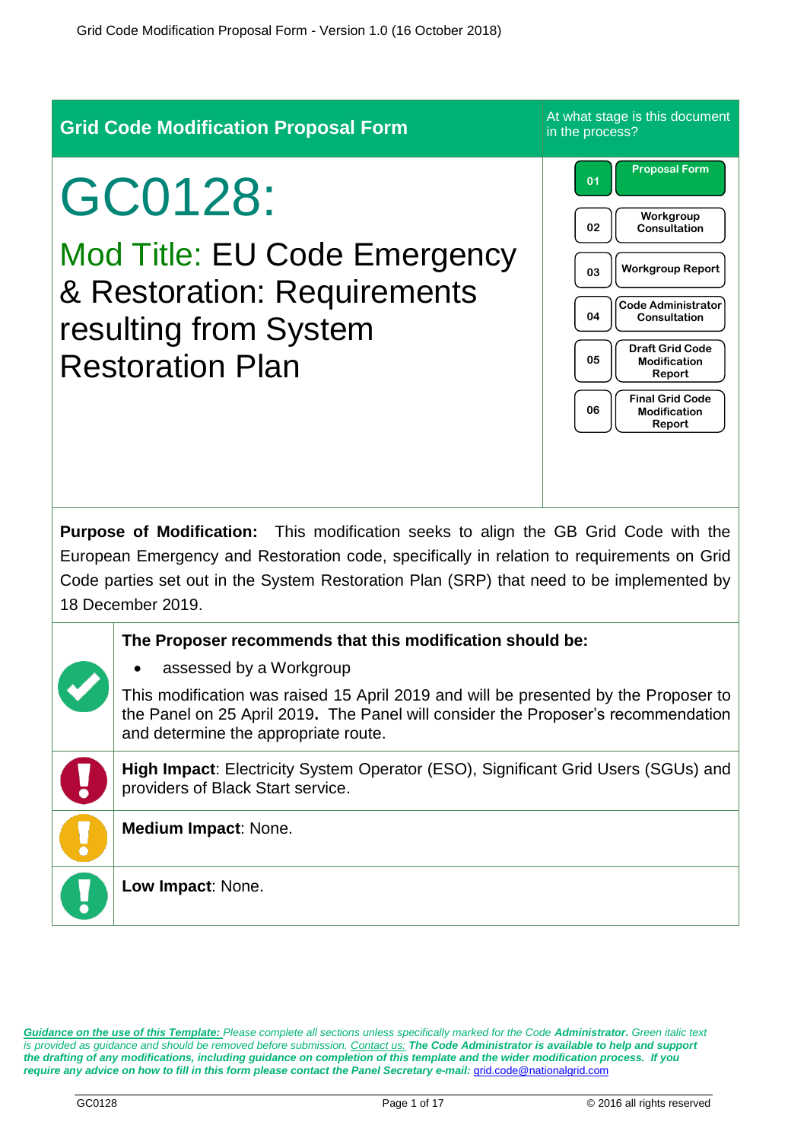

*Guidance on the use of this Template: Please complete all sections unless specifically marked for the Code Administrator. Green italic text is provided as guidance and should be removed before submission. Contact us: The Code Administrator is available to help and support the drafting of any modifications, including guidance on completion of this template and the wider modification process. If you require any advice on how to fill in this form please contact the Panel Secretary e-mail: [grid.code@nationalgrid.com](mailto:grid.code@nationalgrid.com)*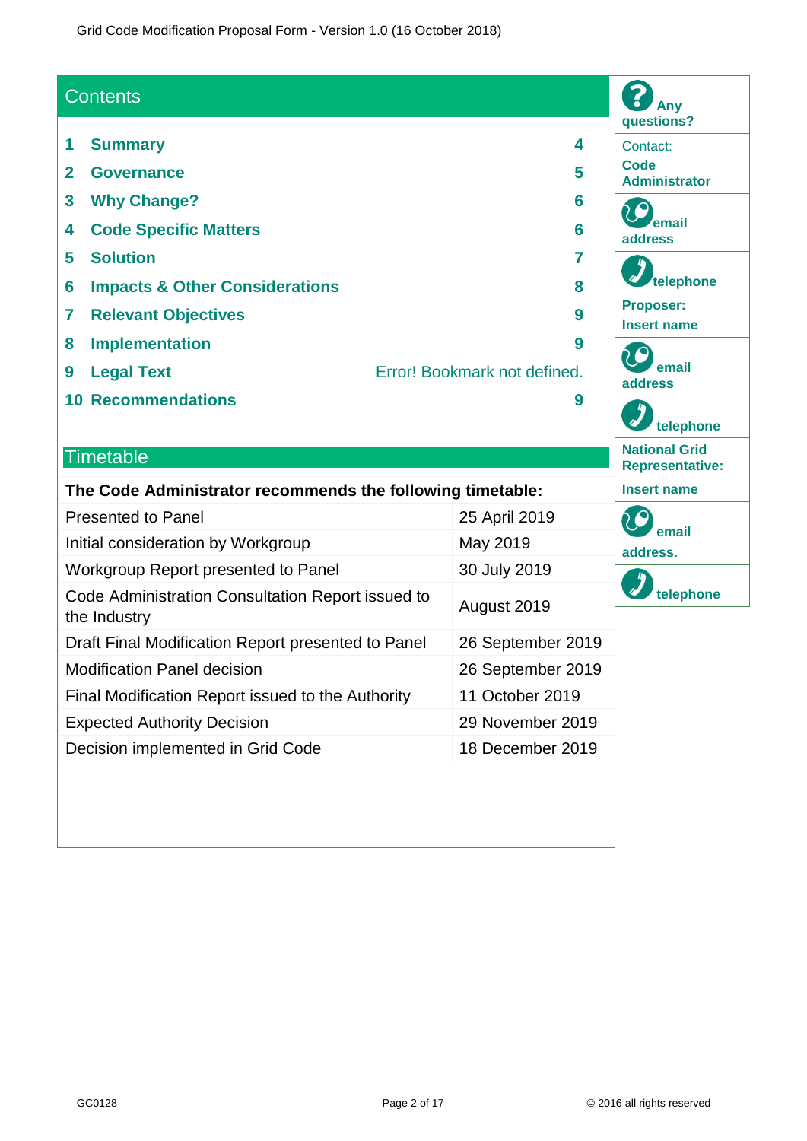# **Contents 1 Summary 4**

- **2 Governance 5 3 Why Change? 6 4 Code Specific Matters 6 5 Solution 7 6 Impacts & Other Considerations 8 7 Relevant Objectives 9 8 Implementation 9 9 Legal Text** Error! Bookmark not defined.
- **10 Recommendations 9**

# **Timetable**

### **The Code Administrator recommends the following timetable:**

| <b>Presented to Panel</b>                                         | 25 April 2019     |
|-------------------------------------------------------------------|-------------------|
| Initial consideration by Workgroup                                | May 2019          |
| Workgroup Report presented to Panel                               | 30 July 2019      |
| Code Administration Consultation Report issued to<br>the Industry | August 2019       |
| Draft Final Modification Report presented to Panel                | 26 September 2019 |
| <b>Modification Panel decision</b>                                | 26 September 2019 |
| Final Modification Report issued to the Authority                 | 11 October 2019   |
| <b>Expected Authority Decision</b>                                | 29 November 2019  |
| Decision implemented in Grid Code                                 | 18 December 2019  |

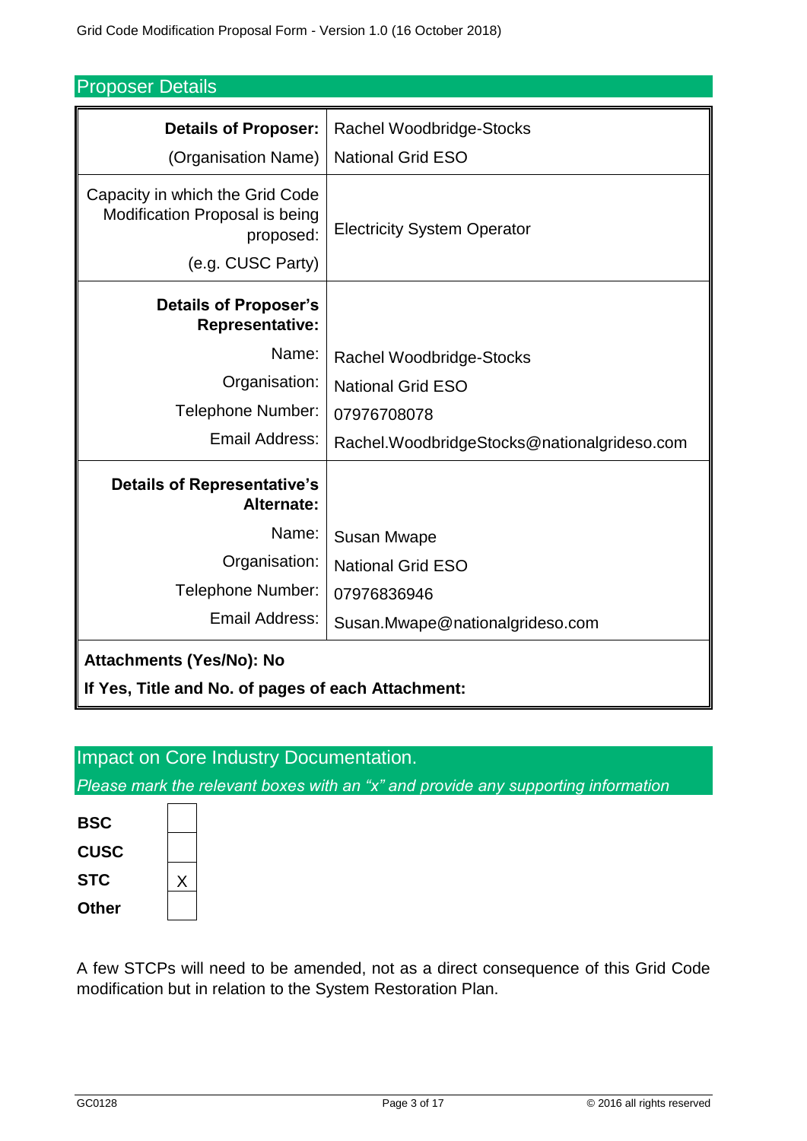| <b>Proposer Details</b> |  |
|-------------------------|--|
|-------------------------|--|

| <b>Details of Proposer:</b>                                                                         | <b>Rachel Woodbridge-Stocks</b>             |  |
|-----------------------------------------------------------------------------------------------------|---------------------------------------------|--|
| (Organisation Name)                                                                                 | <b>National Grid ESO</b>                    |  |
| Capacity in which the Grid Code<br>Modification Proposal is being<br>proposed:<br>(e.g. CUSC Party) | <b>Electricity System Operator</b>          |  |
| <b>Details of Proposer's</b><br><b>Representative:</b>                                              |                                             |  |
| Name:                                                                                               | <b>Rachel Woodbridge-Stocks</b>             |  |
| Organisation:                                                                                       | <b>National Grid ESO</b>                    |  |
| Telephone Number:                                                                                   | 07976708078                                 |  |
| Email Address:                                                                                      | Rachel.WoodbridgeStocks@nationalgrideso.com |  |
| <b>Details of Representative's</b><br>Alternate:                                                    |                                             |  |
| Name:                                                                                               | <b>Susan Mwape</b>                          |  |
| Organisation:                                                                                       | <b>National Grid ESO</b>                    |  |
| Telephone Number:                                                                                   | 07976836946                                 |  |
| Email Address:                                                                                      | Susan.Mwape@nationalgrideso.com             |  |
| <b>Attachments (Yes/No): No</b>                                                                     |                                             |  |
| If Yes, Title and No. of pages of each Attachment:                                                  |                                             |  |

# Impact on Core Industry Documentation.

*Please mark the relevant boxes with an "x" and provide any supporting information*



A few STCPs will need to be amended, not as a direct consequence of this Grid Code modification but in relation to the System Restoration Plan.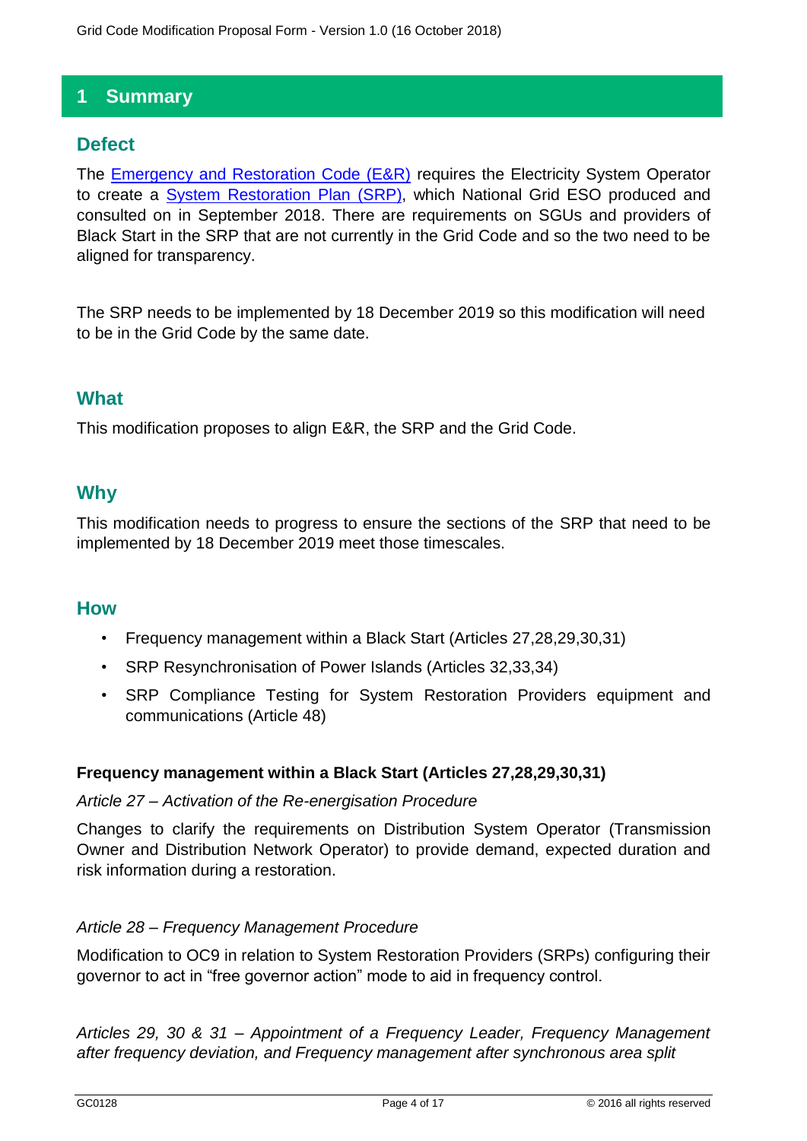# **1 Summary**

# **Defect**

The [Emergency and Restoration Code \(E&R\)](https://eur-lex.europa.eu/legal-content/EN/TXT/PDF/?uri=CELEX:32017R2196&from=EN) requires the Electricity System Operator to create a [System Restoration](https://www.nationalgrideso.com/codes/european-network-codes/meetings/emergency-and-restoration-consultation) Plan (SRP), which National Grid ESO produced and consulted on in September 2018. There are requirements on SGUs and providers of Black Start in the SRP that are not currently in the Grid Code and so the two need to be aligned for transparency.

The SRP needs to be implemented by 18 December 2019 so this modification will need to be in the Grid Code by the same date.

# **What**

This modification proposes to align E&R, the SRP and the Grid Code.

# **Why**

This modification needs to progress to ensure the sections of the SRP that need to be implemented by 18 December 2019 meet those timescales.

### **How**

- Frequency management within a Black Start (Articles 27,28,29,30,31)
- SRP Resynchronisation of Power Islands (Articles 32,33,34)
- SRP Compliance Testing for System Restoration Providers equipment and communications (Article 48)

### **Frequency management within a Black Start (Articles 27,28,29,30,31)**

#### *Article 27 – Activation of the Re-energisation Procedure*

Changes to clarify the requirements on Distribution System Operator (Transmission Owner and Distribution Network Operator) to provide demand, expected duration and risk information during a restoration.

### *Article 28 – Frequency Management Procedure*

Modification to OC9 in relation to System Restoration Providers (SRPs) configuring their governor to act in "free governor action" mode to aid in frequency control.

*Articles 29, 30 & 31 – Appointment of a Frequency Leader, Frequency Management after frequency deviation, and Frequency management after synchronous area split*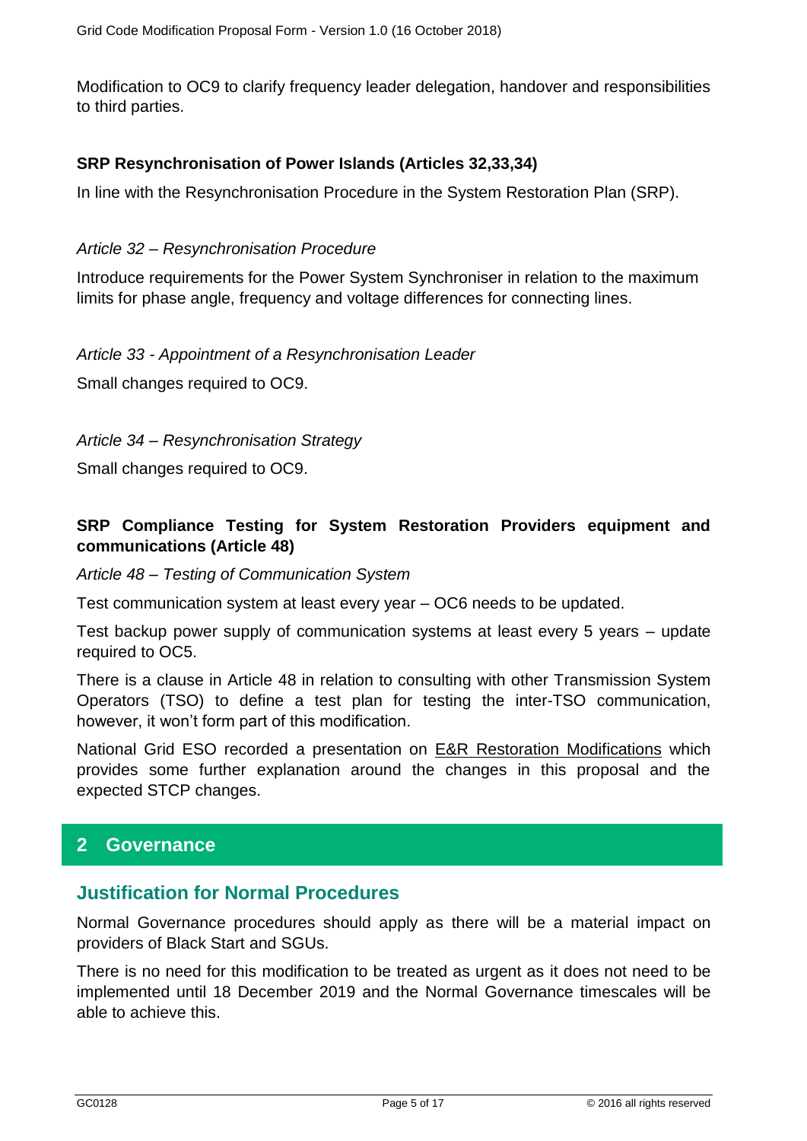Modification to OC9 to clarify frequency leader delegation, handover and responsibilities to third parties.

#### **SRP Resynchronisation of Power Islands (Articles 32,33,34)**

In line with the Resynchronisation Procedure in the System Restoration Plan (SRP).

#### *Article 32 – Resynchronisation Procedure*

Introduce requirements for the Power System Synchroniser in relation to the maximum limits for phase angle, frequency and voltage differences for connecting lines.

#### *Article 33 - Appointment of a Resynchronisation Leader*

Small changes required to OC9.

*Article 34 – Resynchronisation Strategy*

Small changes required to OC9.

### **SRP Compliance Testing for System Restoration Providers equipment and communications (Article 48)**

*Article 48 – Testing of Communication System* 

Test communication system at least every year – OC6 needs to be updated.

Test backup power supply of communication systems at least every 5 years – update required to OC5.

There is a clause in Article 48 in relation to consulting with other Transmission System Operators (TSO) to define a test plan for testing the inter-TSO communication, however, it won't form part of this modification.

National Grid ESO recorded a presentation on [E&R Restoration Modifications](https://uknationalgrid.webex.com/recordingservice/sites/uknationalgrid/recording/playback/aaa7e44f33564897912e087dc07483d9) which provides some further explanation around the changes in this proposal and the expected STCP changes.

# **2 Governance**

### **Justification for Normal Procedures**

Normal Governance procedures should apply as there will be a material impact on providers of Black Start and SGUs.

There is no need for this modification to be treated as urgent as it does not need to be implemented until 18 December 2019 and the Normal Governance timescales will be able to achieve this.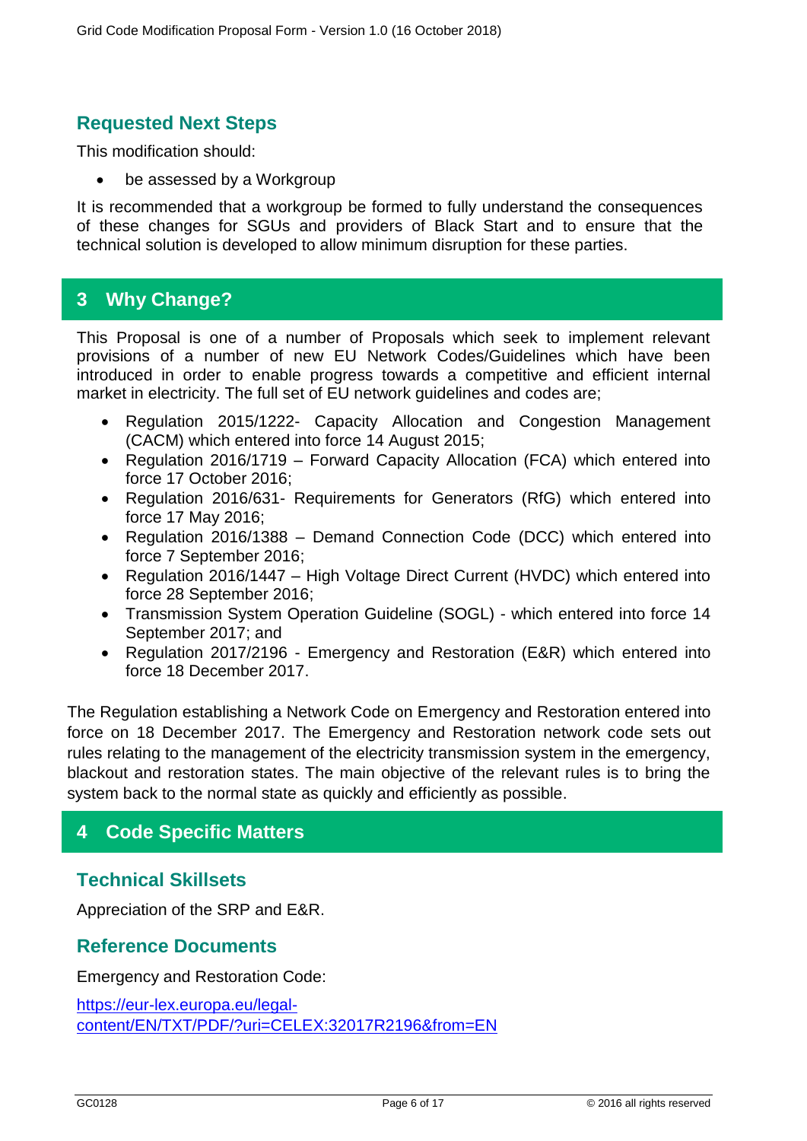# **Requested Next Steps**

This modification should:

be assessed by a Workgroup

It is recommended that a workgroup be formed to fully understand the consequences of these changes for SGUs and providers of Black Start and to ensure that the technical solution is developed to allow minimum disruption for these parties.

# **3 Why Change?**

This Proposal is one of a number of Proposals which seek to implement relevant provisions of a number of new EU Network Codes/Guidelines which have been introduced in order to enable progress towards a competitive and efficient internal market in electricity. The full set of EU network guidelines and codes are;

- Regulation 2015/1222- Capacity Allocation and Congestion Management (CACM) which entered into force 14 August 2015;
- Regulation 2016/1719 Forward Capacity Allocation (FCA) which entered into force 17 October 2016;
- Regulation 2016/631- Requirements for Generators (RfG) which entered into force 17 May 2016;
- Regulation 2016/1388 Demand Connection Code (DCC) which entered into force 7 September 2016;
- Regulation 2016/1447 High Voltage Direct Current (HVDC) which entered into force 28 September 2016;
- Transmission System Operation Guideline (SOGL) which entered into force 14 September 2017; and
- Regulation 2017/2196 Emergency and Restoration (E&R) which entered into force 18 December 2017.

The Regulation establishing a Network Code on Emergency and Restoration entered into force on 18 December 2017. The Emergency and Restoration network code sets out rules relating to the management of the electricity transmission system in the emergency, blackout and restoration states. The main objective of the relevant rules is to bring the system back to the normal state as quickly and efficiently as possible.

# **4 Code Specific Matters**

# **Technical Skillsets**

Appreciation of the SRP and E&R.

#### **Reference Documents**

Emergency and Restoration Code:

[https://eur-lex.europa.eu/legal](https://eur-lex.europa.eu/legal-content/EN/TXT/PDF/?uri=CELEX:32017R2196&from=EN)[content/EN/TXT/PDF/?uri=CELEX:32017R2196&from=EN](https://eur-lex.europa.eu/legal-content/EN/TXT/PDF/?uri=CELEX:32017R2196&from=EN)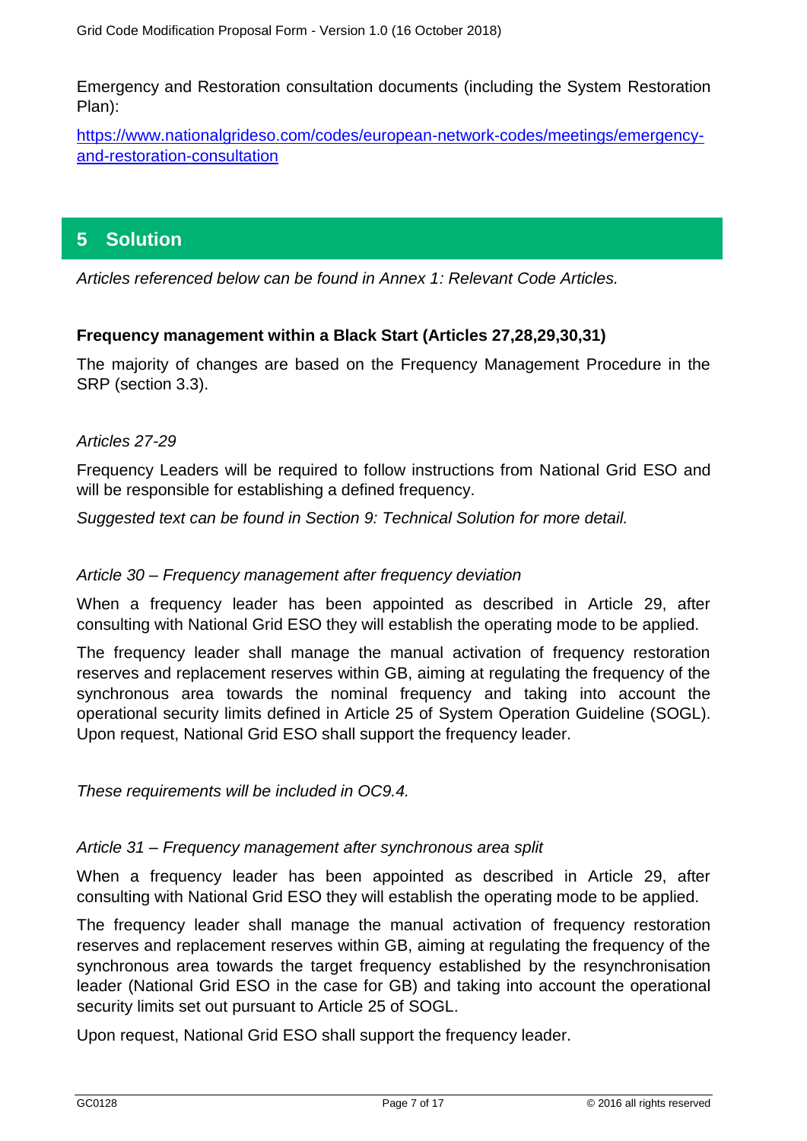Emergency and Restoration consultation documents (including the System Restoration Plan):

[https://www.nationalgrideso.com/codes/european-network-codes/meetings/emergency](https://www.nationalgrideso.com/codes/european-network-codes/meetings/emergency-and-restoration-consultation)[and-restoration-consultation](https://www.nationalgrideso.com/codes/european-network-codes/meetings/emergency-and-restoration-consultation)

# **5 Solution**

*Articles referenced below can be found in Annex 1: Relevant Code Articles.*

### **Frequency management within a Black Start (Articles 27,28,29,30,31)**

The majority of changes are based on the Frequency Management Procedure in the SRP (section 3.3).

### *Articles 27-29*

Frequency Leaders will be required to follow instructions from National Grid ESO and will be responsible for establishing a defined frequency.

*Suggested text can be found in Section 9: Technical Solution for more detail.* 

#### *Article 30 – Frequency management after frequency deviation*

When a frequency leader has been appointed as described in Article 29, after consulting with National Grid ESO they will establish the operating mode to be applied.

The frequency leader shall manage the manual activation of frequency restoration reserves and replacement reserves within GB, aiming at regulating the frequency of the synchronous area towards the nominal frequency and taking into account the operational security limits defined in Article 25 of System Operation Guideline (SOGL). Upon request, National Grid ESO shall support the frequency leader.

*These requirements will be included in OC9.4.* 

#### *Article 31 – Frequency management after synchronous area split*

When a frequency leader has been appointed as described in Article 29, after consulting with National Grid ESO they will establish the operating mode to be applied.

The frequency leader shall manage the manual activation of frequency restoration reserves and replacement reserves within GB, aiming at regulating the frequency of the synchronous area towards the target frequency established by the resynchronisation leader (National Grid ESO in the case for GB) and taking into account the operational security limits set out pursuant to Article 25 of SOGL.

Upon request, National Grid ESO shall support the frequency leader.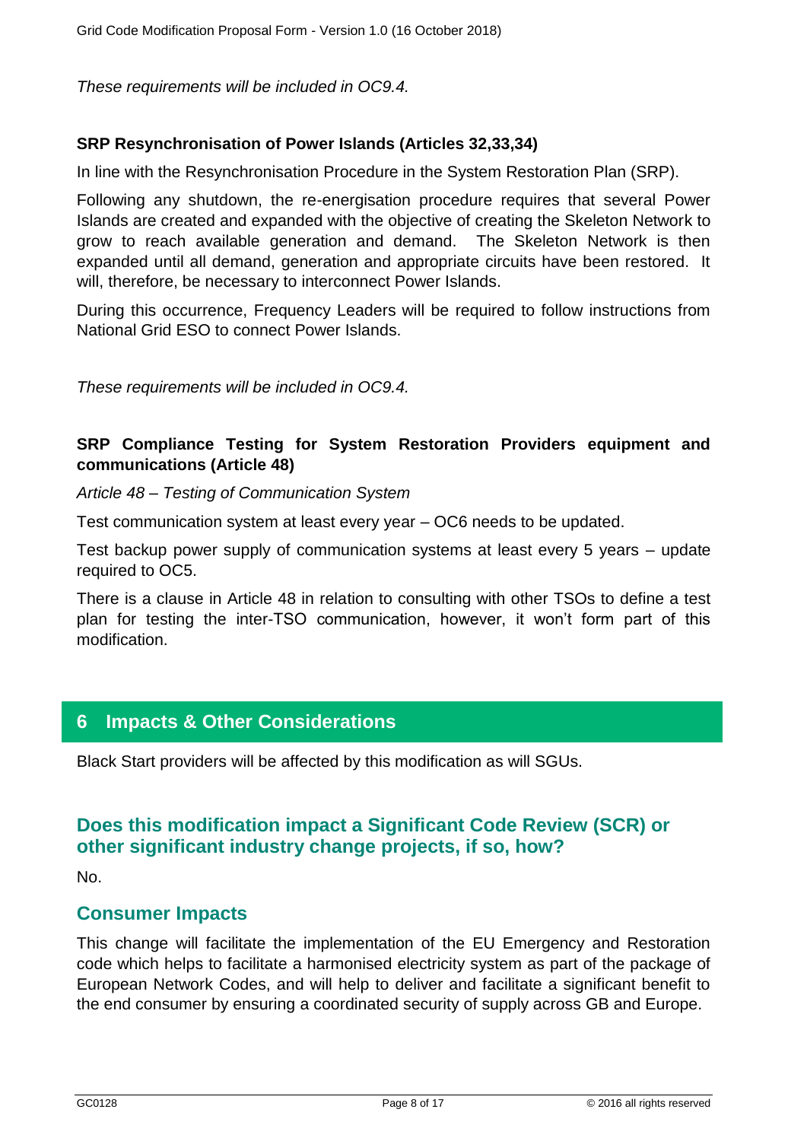*These requirements will be included in OC9.4.*

### **SRP Resynchronisation of Power Islands (Articles 32,33,34)**

In line with the Resynchronisation Procedure in the System Restoration Plan (SRP).

Following any shutdown, the re-energisation procedure requires that several Power Islands are created and expanded with the objective of creating the Skeleton Network to grow to reach available generation and demand. The Skeleton Network is then expanded until all demand, generation and appropriate circuits have been restored. It will, therefore, be necessary to interconnect Power Islands.

During this occurrence, Frequency Leaders will be required to follow instructions from National Grid ESO to connect Power Islands.

*These requirements will be included in OC9.4.* 

### **SRP Compliance Testing for System Restoration Providers equipment and communications (Article 48)**

*Article 48 – Testing of Communication System* 

Test communication system at least every year – OC6 needs to be updated.

Test backup power supply of communication systems at least every 5 years – update required to OC5.

There is a clause in Article 48 in relation to consulting with other TSOs to define a test plan for testing the inter-TSO communication, however, it won't form part of this modification.

# **6 Impacts & Other Considerations**

Black Start providers will be affected by this modification as will SGUs.

# **Does this modification impact a Significant Code Review (SCR) or other significant industry change projects, if so, how?**

No.

### **Consumer Impacts**

This change will facilitate the implementation of the EU Emergency and Restoration code which helps to facilitate a harmonised electricity system as part of the package of European Network Codes, and will help to deliver and facilitate a significant benefit to the end consumer by ensuring a coordinated security of supply across GB and Europe.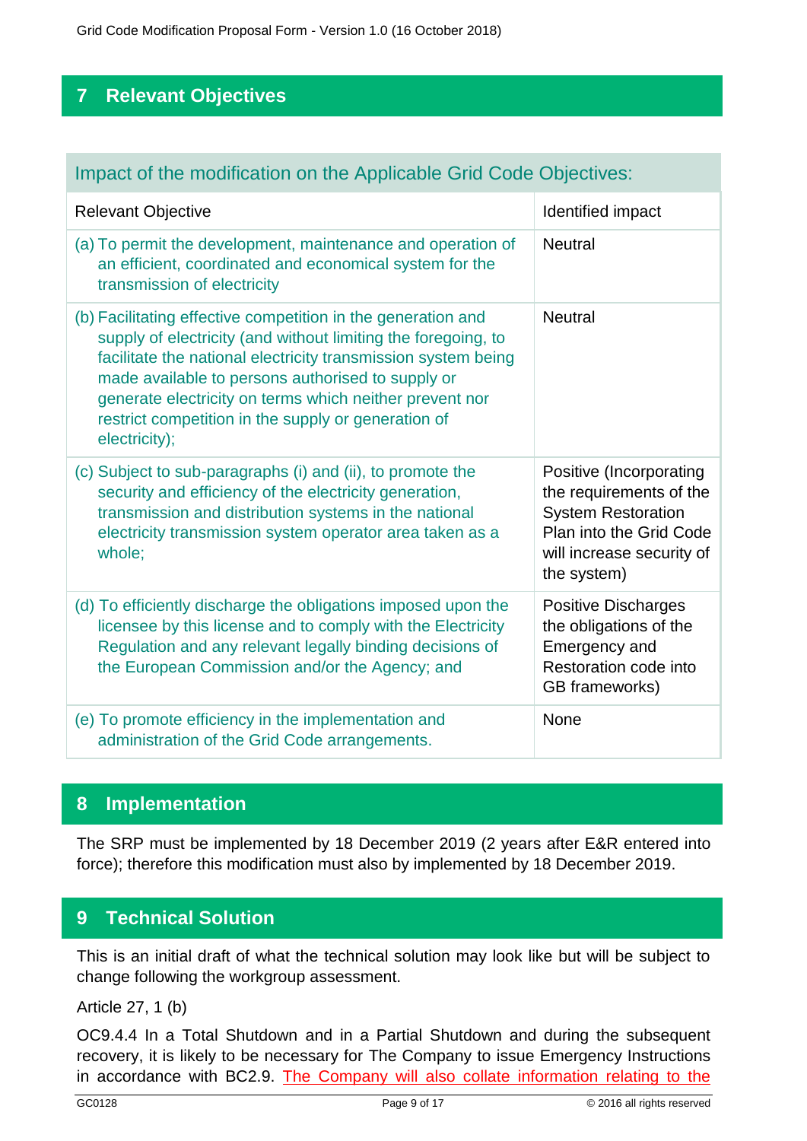Grid Code Modification Proposal Form - Version 1.0 (16 October 2018)

# **7 Relevant Objectives**

# Impact of the modification on the Applicable Grid Code Objectives:

| <b>Relevant Objective</b>                                                                                                                                                                                                                                                                                                                                                              | Identified impact                                                                                                                                      |
|----------------------------------------------------------------------------------------------------------------------------------------------------------------------------------------------------------------------------------------------------------------------------------------------------------------------------------------------------------------------------------------|--------------------------------------------------------------------------------------------------------------------------------------------------------|
| (a) To permit the development, maintenance and operation of<br>an efficient, coordinated and economical system for the<br>transmission of electricity                                                                                                                                                                                                                                  | <b>Neutral</b>                                                                                                                                         |
| (b) Facilitating effective competition in the generation and<br>supply of electricity (and without limiting the foregoing, to<br>facilitate the national electricity transmission system being<br>made available to persons authorised to supply or<br>generate electricity on terms which neither prevent nor<br>restrict competition in the supply or generation of<br>electricity); | <b>Neutral</b>                                                                                                                                         |
| (c) Subject to sub-paragraphs (i) and (ii), to promote the<br>security and efficiency of the electricity generation,<br>transmission and distribution systems in the national<br>electricity transmission system operator area taken as a<br>whole;                                                                                                                                    | Positive (Incorporating<br>the requirements of the<br><b>System Restoration</b><br>Plan into the Grid Code<br>will increase security of<br>the system) |
| (d) To efficiently discharge the obligations imposed upon the<br>licensee by this license and to comply with the Electricity<br>Regulation and any relevant legally binding decisions of<br>the European Commission and/or the Agency; and                                                                                                                                             | <b>Positive Discharges</b><br>the obligations of the<br>Emergency and<br>Restoration code into<br>GB frameworks)                                       |
| (e) To promote efficiency in the implementation and<br>administration of the Grid Code arrangements.                                                                                                                                                                                                                                                                                   | None                                                                                                                                                   |

# **8 Implementation**

The SRP must be implemented by 18 December 2019 (2 years after E&R entered into force); therefore this modification must also by implemented by 18 December 2019.

# **9 Technical Solution**

This is an initial draft of what the technical solution may look like but will be subject to change following the workgroup assessment.

Article 27, 1 (b)

OC9.4.4 In a Total Shutdown and in a Partial Shutdown and during the subsequent recovery, it is likely to be necessary for The Company to issue Emergency Instructions in accordance with BC2.9. The Company will also collate information relating to the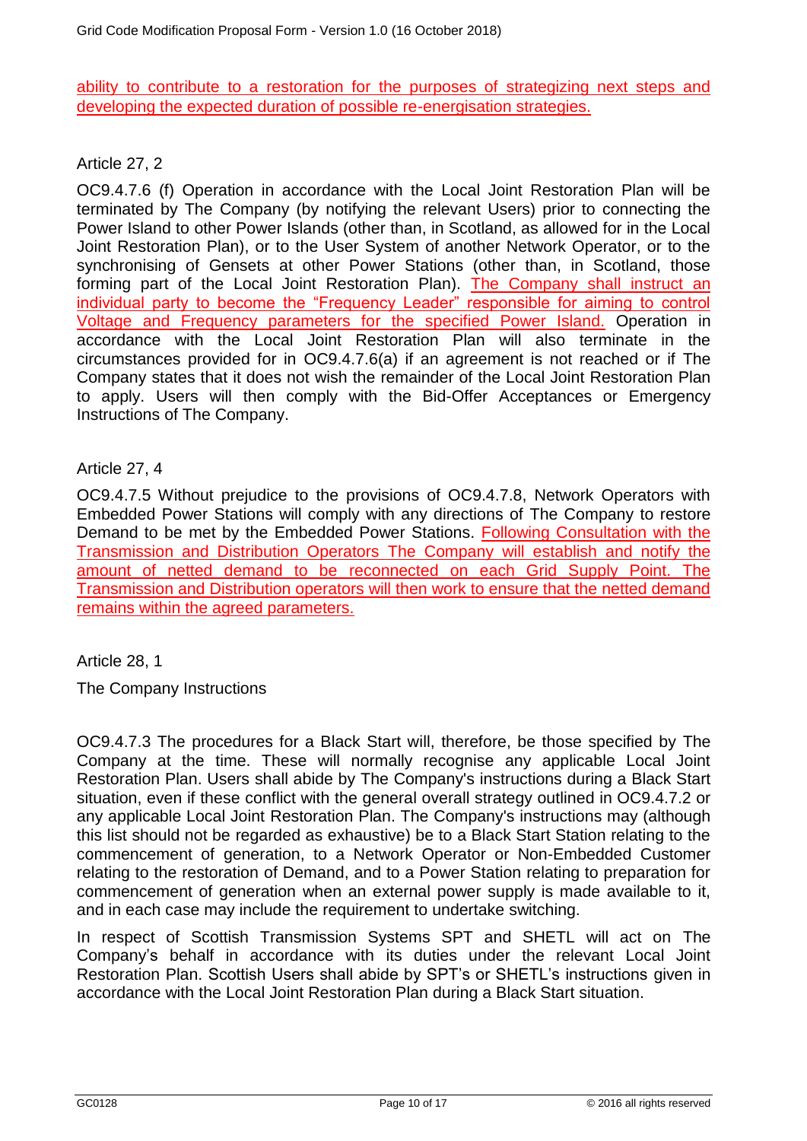ability to contribute to a restoration for the purposes of strategizing next steps and developing the expected duration of possible re-energisation strategies.

Article 27, 2

OC9.4.7.6 (f) Operation in accordance with the Local Joint Restoration Plan will be terminated by The Company (by notifying the relevant Users) prior to connecting the Power Island to other Power Islands (other than, in Scotland, as allowed for in the Local Joint Restoration Plan), or to the User System of another Network Operator, or to the synchronising of Gensets at other Power Stations (other than, in Scotland, those forming part of the Local Joint Restoration Plan). The Company shall instruct an individual party to become the "Frequency Leader" responsible for aiming to control Voltage and Frequency parameters for the specified Power Island. Operation in accordance with the Local Joint Restoration Plan will also terminate in the circumstances provided for in OC9.4.7.6(a) if an agreement is not reached or if The Company states that it does not wish the remainder of the Local Joint Restoration Plan to apply. Users will then comply with the Bid-Offer Acceptances or Emergency Instructions of The Company.

### Article 27, 4

OC9.4.7.5 Without prejudice to the provisions of OC9.4.7.8, Network Operators with Embedded Power Stations will comply with any directions of The Company to restore Demand to be met by the Embedded Power Stations. Following Consultation with the Transmission and Distribution Operators The Company will establish and notify the amount of netted demand to be reconnected on each Grid Supply Point. The Transmission and Distribution operators will then work to ensure that the netted demand remains within the agreed parameters.

Article 28, 1

The Company Instructions

OC9.4.7.3 The procedures for a Black Start will, therefore, be those specified by The Company at the time. These will normally recognise any applicable Local Joint Restoration Plan. Users shall abide by The Company's instructions during a Black Start situation, even if these conflict with the general overall strategy outlined in OC9.4.7.2 or any applicable Local Joint Restoration Plan. The Company's instructions may (although this list should not be regarded as exhaustive) be to a Black Start Station relating to the commencement of generation, to a Network Operator or Non-Embedded Customer relating to the restoration of Demand, and to a Power Station relating to preparation for commencement of generation when an external power supply is made available to it, and in each case may include the requirement to undertake switching.

In respect of Scottish Transmission Systems SPT and SHETL will act on The Company's behalf in accordance with its duties under the relevant Local Joint Restoration Plan. Scottish Users shall abide by SPT's or SHETL's instructions given in accordance with the Local Joint Restoration Plan during a Black Start situation.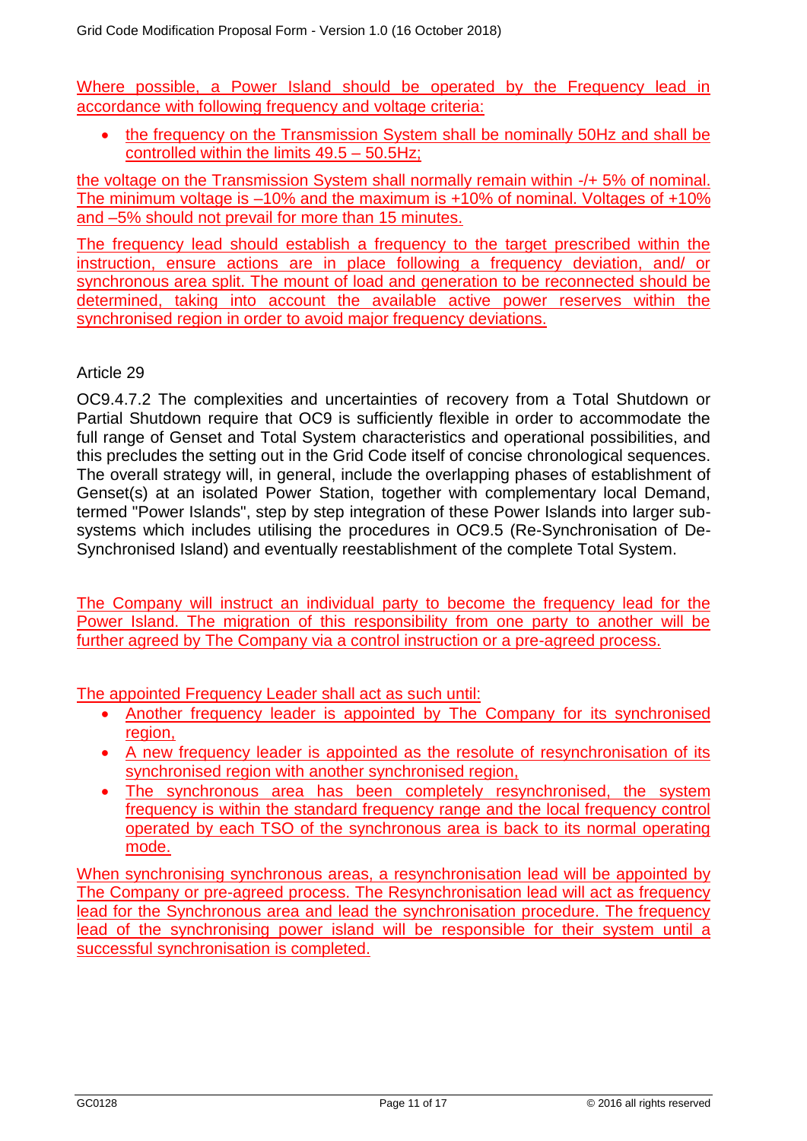Where possible, a Power Island should be operated by the Frequency lead in accordance with following frequency and voltage criteria:

• the frequency on the Transmission System shall be nominally 50Hz and shall be controlled within the limits 49.5 – 50.5Hz;

the voltage on the Transmission System shall normally remain within -/+ 5% of nominal. The minimum voltage is –10% and the maximum is +10% of nominal. Voltages of +10% and –5% should not prevail for more than 15 minutes.

The frequency lead should establish a frequency to the target prescribed within the instruction, ensure actions are in place following a frequency deviation, and/ or synchronous area split. The mount of load and generation to be reconnected should be determined, taking into account the available active power reserves within the synchronised region in order to avoid major frequency deviations.

### Article 29

OC9.4.7.2 The complexities and uncertainties of recovery from a Total Shutdown or Partial Shutdown require that OC9 is sufficiently flexible in order to accommodate the full range of Genset and Total System characteristics and operational possibilities, and this precludes the setting out in the Grid Code itself of concise chronological sequences. The overall strategy will, in general, include the overlapping phases of establishment of Genset(s) at an isolated Power Station, together with complementary local Demand, termed "Power Islands", step by step integration of these Power Islands into larger subsystems which includes utilising the procedures in OC9.5 (Re-Synchronisation of De-Synchronised Island) and eventually reestablishment of the complete Total System.

The Company will instruct an individual party to become the frequency lead for the Power Island. The migration of this responsibility from one party to another will be further agreed by The Company via a control instruction or a pre-agreed process.

The appointed Frequency Leader shall act as such until:

- Another frequency leader is appointed by The Company for its synchronised region,
- A new frequency leader is appointed as the resolute of resynchronisation of its synchronised region with another synchronised region,
- The synchronous area has been completely resynchronised, the system frequency is within the standard frequency range and the local frequency control operated by each TSO of the synchronous area is back to its normal operating mode.

When synchronising synchronous areas, a resynchronisation lead will be appointed by The Company or pre-agreed process. The Resynchronisation lead will act as frequency lead for the Synchronous area and lead the synchronisation procedure. The frequency lead of the synchronising power island will be responsible for their system until a successful synchronisation is completed.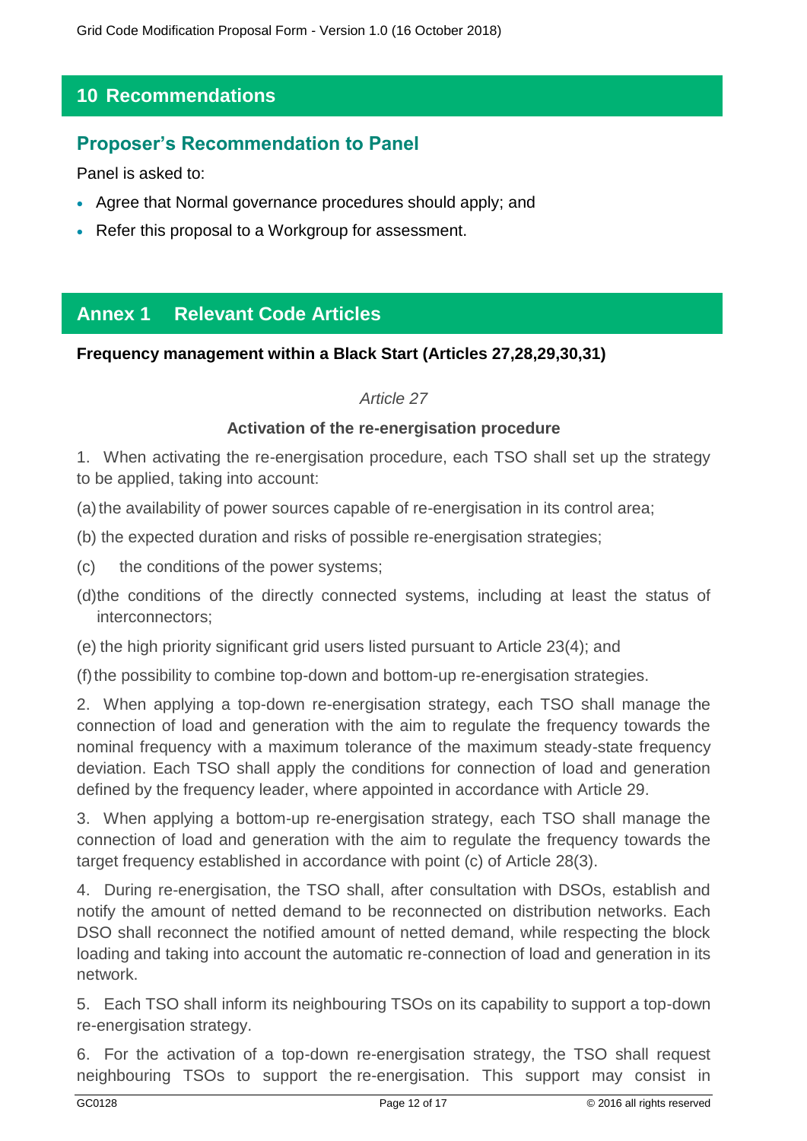# **10 Recommendations**

# **Proposer's Recommendation to Panel**

Panel is asked to:

- Agree that Normal governance procedures should apply; and
- Refer this proposal to a Workgroup for assessment.

# **Annex 1 Relevant Code Articles**

### **Frequency management within a Black Start (Articles 27,28,29,30,31)**

### *Article 27*

### **Activation of the re-energisation procedure**

1. When activating the re-energisation procedure, each TSO shall set up the strategy to be applied, taking into account:

(a)the availability of power sources capable of re-energisation in its control area;

(b) the expected duration and risks of possible re-energisation strategies;

(c) the conditions of the power systems;

(d)the conditions of the directly connected systems, including at least the status of interconnectors;

(e) the high priority significant grid users listed pursuant to Article 23(4); and

(f)the possibility to combine top-down and bottom-up re-energisation strategies.

2. When applying a top-down re-energisation strategy, each TSO shall manage the connection of load and generation with the aim to regulate the frequency towards the nominal frequency with a maximum tolerance of the maximum steady-state frequency deviation. Each TSO shall apply the conditions for connection of load and generation defined by the frequency leader, where appointed in accordance with Article 29.

3. When applying a bottom-up re-energisation strategy, each TSO shall manage the connection of load and generation with the aim to regulate the frequency towards the target frequency established in accordance with point (c) of Article 28(3).

4. During re-energisation, the TSO shall, after consultation with DSOs, establish and notify the amount of netted demand to be reconnected on distribution networks. Each DSO shall reconnect the notified amount of netted demand, while respecting the block loading and taking into account the automatic re-connection of load and generation in its network.

5. Each TSO shall inform its neighbouring TSOs on its capability to support a top-down re-energisation strategy.

6. For the activation of a top-down re-energisation strategy, the TSO shall request neighbouring TSOs to support the re-energisation. This support may consist in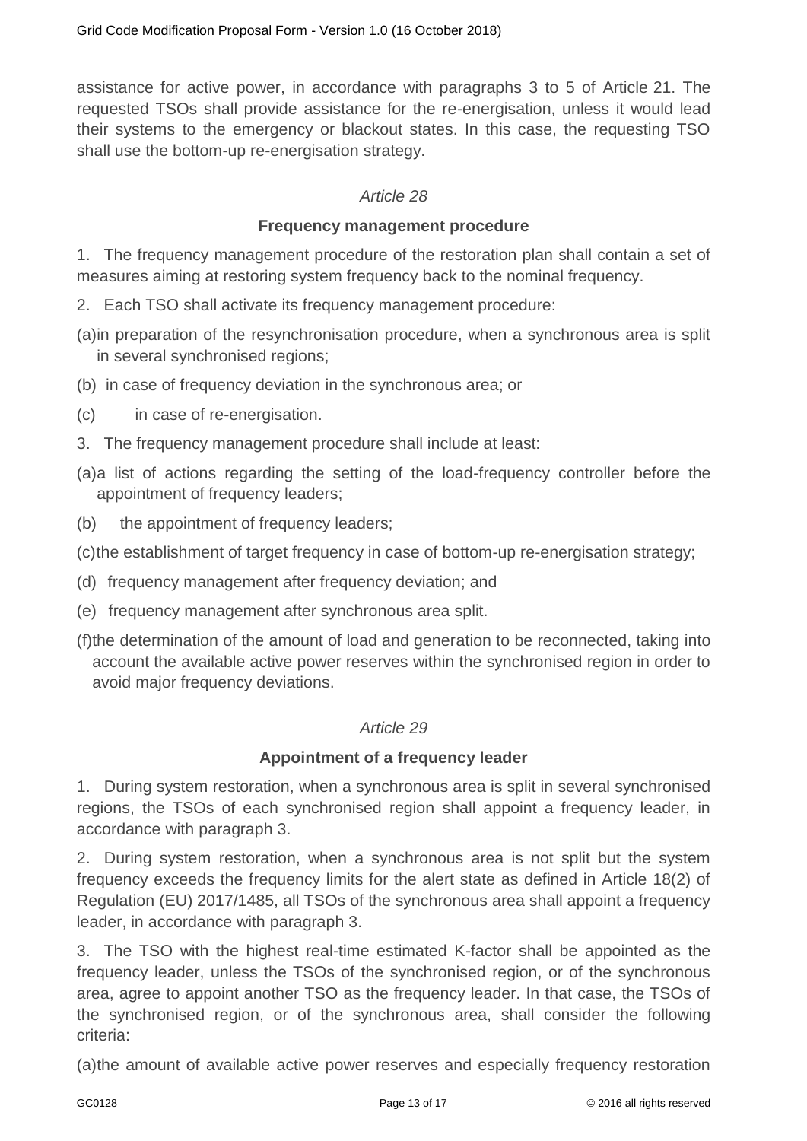assistance for active power, in accordance with paragraphs 3 to 5 of Article 21. The requested TSOs shall provide assistance for the re-energisation, unless it would lead their systems to the emergency or blackout states. In this case, the requesting TSO shall use the bottom-up re-energisation strategy.

### *Article 28*

#### **Frequency management procedure**

1. The frequency management procedure of the restoration plan shall contain a set of measures aiming at restoring system frequency back to the nominal frequency.

- 2. Each TSO shall activate its frequency management procedure:
- (a)in preparation of the resynchronisation procedure, when a synchronous area is split in several synchronised regions;
- (b) in case of frequency deviation in the synchronous area; or
- (c) in case of re-energisation.
- 3. The frequency management procedure shall include at least:
- (a)a list of actions regarding the setting of the load-frequency controller before the appointment of frequency leaders;
- (b) the appointment of frequency leaders;
- (c)the establishment of target frequency in case of bottom-up re-energisation strategy;
- (d) frequency management after frequency deviation; and
- (e) frequency management after synchronous area split.
- (f)the determination of the amount of load and generation to be reconnected, taking into account the available active power reserves within the synchronised region in order to avoid major frequency deviations.

### *Article 29*

#### **Appointment of a frequency leader**

1. During system restoration, when a synchronous area is split in several synchronised regions, the TSOs of each synchronised region shall appoint a frequency leader, in accordance with paragraph 3.

2. During system restoration, when a synchronous area is not split but the system frequency exceeds the frequency limits for the alert state as defined in Article 18(2) of Regulation (EU) 2017/1485, all TSOs of the synchronous area shall appoint a frequency leader, in accordance with paragraph 3.

3. The TSO with the highest real-time estimated K-factor shall be appointed as the frequency leader, unless the TSOs of the synchronised region, or of the synchronous area, agree to appoint another TSO as the frequency leader. In that case, the TSOs of the synchronised region, or of the synchronous area, shall consider the following criteria:

(a)the amount of available active power reserves and especially frequency restoration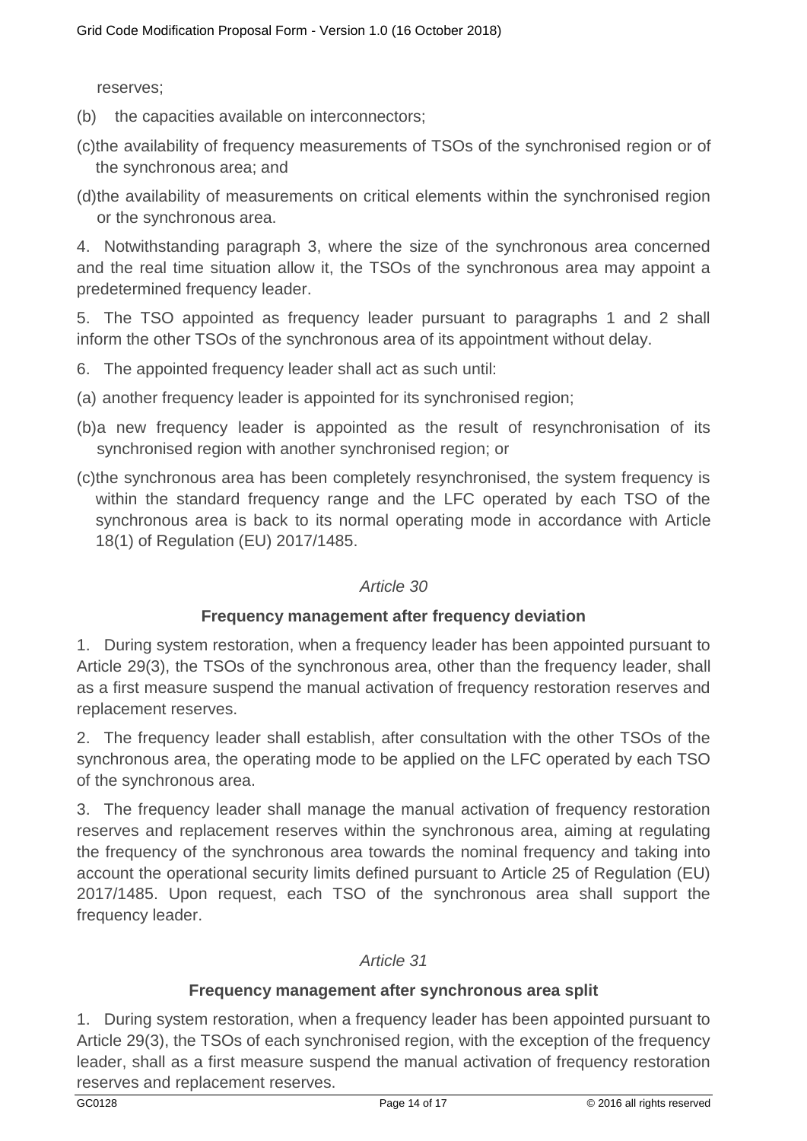reserves;

(b) the capacities available on interconnectors;

- (c)the availability of frequency measurements of TSOs of the synchronised region or of the synchronous area; and
- (d)the availability of measurements on critical elements within the synchronised region or the synchronous area.

4. Notwithstanding paragraph 3, where the size of the synchronous area concerned and the real time situation allow it, the TSOs of the synchronous area may appoint a predetermined frequency leader.

5. The TSO appointed as frequency leader pursuant to paragraphs 1 and 2 shall inform the other TSOs of the synchronous area of its appointment without delay.

6. The appointed frequency leader shall act as such until:

- (a) another frequency leader is appointed for its synchronised region;
- (b)a new frequency leader is appointed as the result of resynchronisation of its synchronised region with another synchronised region; or
- (c)the synchronous area has been completely resynchronised, the system frequency is within the standard frequency range and the LFC operated by each TSO of the synchronous area is back to its normal operating mode in accordance with Article 18(1) of Regulation (EU) 2017/1485.

### *Article 30*

### **Frequency management after frequency deviation**

1. During system restoration, when a frequency leader has been appointed pursuant to Article 29(3), the TSOs of the synchronous area, other than the frequency leader, shall as a first measure suspend the manual activation of frequency restoration reserves and replacement reserves.

2. The frequency leader shall establish, after consultation with the other TSOs of the synchronous area, the operating mode to be applied on the LFC operated by each TSO of the synchronous area.

3. The frequency leader shall manage the manual activation of frequency restoration reserves and replacement reserves within the synchronous area, aiming at regulating the frequency of the synchronous area towards the nominal frequency and taking into account the operational security limits defined pursuant to Article 25 of Regulation (EU) 2017/1485. Upon request, each TSO of the synchronous area shall support the frequency leader.

#### *Article 31*

### **Frequency management after synchronous area split**

1. During system restoration, when a frequency leader has been appointed pursuant to Article 29(3), the TSOs of each synchronised region, with the exception of the frequency leader, shall as a first measure suspend the manual activation of frequency restoration reserves and replacement reserves.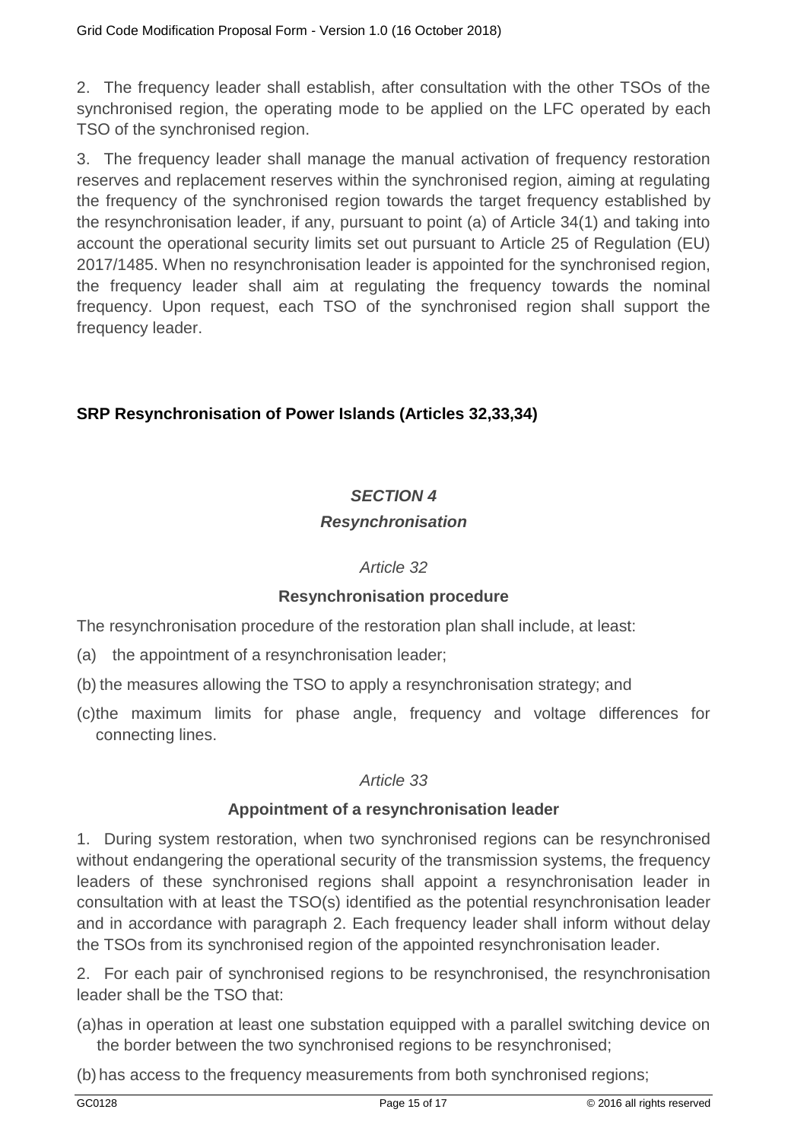2. The frequency leader shall establish, after consultation with the other TSOs of the synchronised region, the operating mode to be applied on the LFC operated by each TSO of the synchronised region.

3. The frequency leader shall manage the manual activation of frequency restoration reserves and replacement reserves within the synchronised region, aiming at regulating the frequency of the synchronised region towards the target frequency established by the resynchronisation leader, if any, pursuant to point (a) of Article 34(1) and taking into account the operational security limits set out pursuant to Article 25 of Regulation (EU) 2017/1485. When no resynchronisation leader is appointed for the synchronised region, the frequency leader shall aim at regulating the frequency towards the nominal frequency. Upon request, each TSO of the synchronised region shall support the frequency leader.

### **SRP Resynchronisation of Power Islands (Articles 32,33,34)**

### *SECTION 4*

### *Resynchronisation*

#### *Article 32*

### **Resynchronisation procedure**

The resynchronisation procedure of the restoration plan shall include, at least:

- (a) the appointment of a resynchronisation leader;
- (b) the measures allowing the TSO to apply a resynchronisation strategy; and
- (c)the maximum limits for phase angle, frequency and voltage differences for connecting lines.

### *Article 33*

#### **Appointment of a resynchronisation leader**

1. During system restoration, when two synchronised regions can be resynchronised without endangering the operational security of the transmission systems, the frequency leaders of these synchronised regions shall appoint a resynchronisation leader in consultation with at least the TSO(s) identified as the potential resynchronisation leader and in accordance with paragraph 2. Each frequency leader shall inform without delay the TSOs from its synchronised region of the appointed resynchronisation leader.

2. For each pair of synchronised regions to be resynchronised, the resynchronisation leader shall be the TSO that:

(a)has in operation at least one substation equipped with a parallel switching device on the border between the two synchronised regions to be resynchronised;

(b) has access to the frequency measurements from both synchronised regions;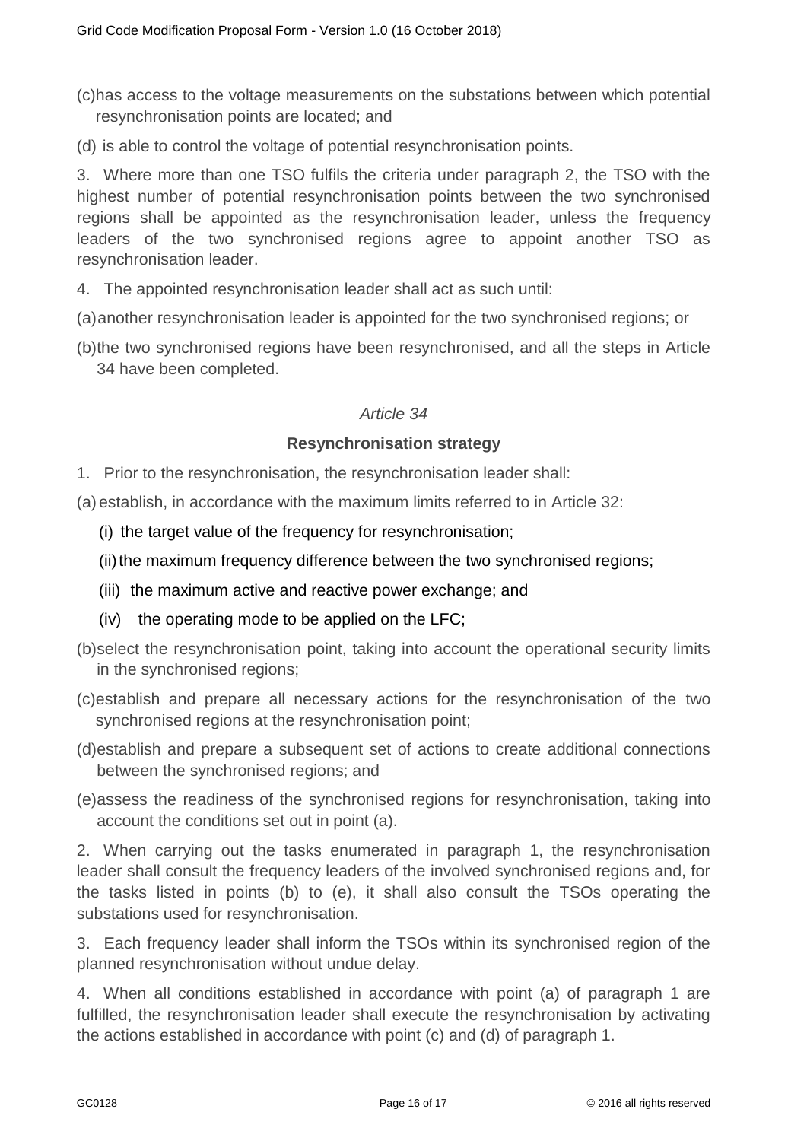(c)has access to the voltage measurements on the substations between which potential resynchronisation points are located; and

(d) is able to control the voltage of potential resynchronisation points.

3. Where more than one TSO fulfils the criteria under paragraph 2, the TSO with the highest number of potential resynchronisation points between the two synchronised regions shall be appointed as the resynchronisation leader, unless the frequency leaders of the two synchronised regions agree to appoint another TSO as resynchronisation leader.

- 4. The appointed resynchronisation leader shall act as such until:
- (a)another resynchronisation leader is appointed for the two synchronised regions; or
- (b)the two synchronised regions have been resynchronised, and all the steps in Article 34 have been completed.

### *Article 34*

### **Resynchronisation strategy**

1. Prior to the resynchronisation, the resynchronisation leader shall:

(a) establish, in accordance with the maximum limits referred to in Article 32:

- (i) the target value of the frequency for resynchronisation;
- (ii) the maximum frequency difference between the two synchronised regions;
- (iii) the maximum active and reactive power exchange; and
- (iv) the operating mode to be applied on the LFC;
- (b)select the resynchronisation point, taking into account the operational security limits in the synchronised regions;
- (c)establish and prepare all necessary actions for the resynchronisation of the two synchronised regions at the resynchronisation point;
- (d)establish and prepare a subsequent set of actions to create additional connections between the synchronised regions; and
- (e)assess the readiness of the synchronised regions for resynchronisation, taking into account the conditions set out in point (a).

2. When carrying out the tasks enumerated in paragraph 1, the resynchronisation leader shall consult the frequency leaders of the involved synchronised regions and, for the tasks listed in points (b) to (e), it shall also consult the TSOs operating the substations used for resynchronisation.

3. Each frequency leader shall inform the TSOs within its synchronised region of the planned resynchronisation without undue delay.

4. When all conditions established in accordance with point (a) of paragraph 1 are fulfilled, the resynchronisation leader shall execute the resynchronisation by activating the actions established in accordance with point (c) and (d) of paragraph 1.